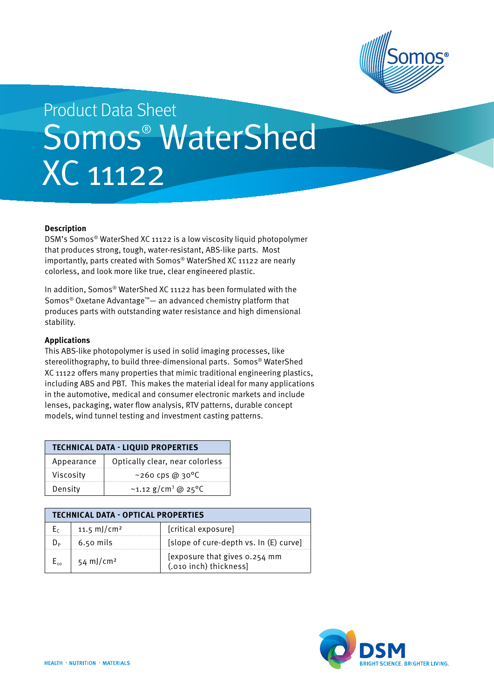

# Somos® WaterShed XC 11122 Product Data Sheet

## **Description**

DSM's Somos® WaterShed XC 11122 is a low viscosity liquid photopolymer that produces strong, tough, water-resistant, ABS-like parts. Most importantly, parts created with Somos® WaterShed XC 11122 are nearly colorless, and look more like true, clear engineered plastic.

In addition, Somos® WaterShed XC 11122 has been formulated with the Somos® Oxetane Advantage™— an advanced chemistry platform that produces parts with outstanding water resistance and high dimensional stability.

### **Applications**

This ABS-like photopolymer is used in solid imaging processes, like stereolithography, to build three-dimensional parts. Somos® WaterShed XC 11122 offers many properties that mimic traditional engineering plastics, including ABS and PBT. This makes the material ideal for many applications in the automotive, medical and consumer electronic markets and include lenses, packaging, water flow analysis, RTV patterns, durable concept models, wind tunnel testing and investment casting patterns.

| <b>TECHNICAL DATA - LIQUID PROPERTIES</b> |                                             |  |  |  |
|-------------------------------------------|---------------------------------------------|--|--|--|
| Appearance                                | Optically clear, near colorless             |  |  |  |
| Viscosity                                 | $~100~{\rm c}$ cps @ 30°C                   |  |  |  |
| Density                                   | ~1.12 g/cm <sup>3</sup> @ 25 <sup>o</sup> C |  |  |  |

| <b>TECHNICAL DATA - OPTICAL PROPERTIES</b> |                         |                                                         |  |  |
|--------------------------------------------|-------------------------|---------------------------------------------------------|--|--|
|                                            | 11.5 mJ/cm <sup>2</sup> | [critical exposure]                                     |  |  |
|                                            | $6.50$ mils             | [slope of cure-depth vs. In (E) curve]                  |  |  |
|                                            | 54 mJ/cm <sup>2</sup>   | [exposure that gives 0.254 mm<br>(.010 inch) thickness] |  |  |